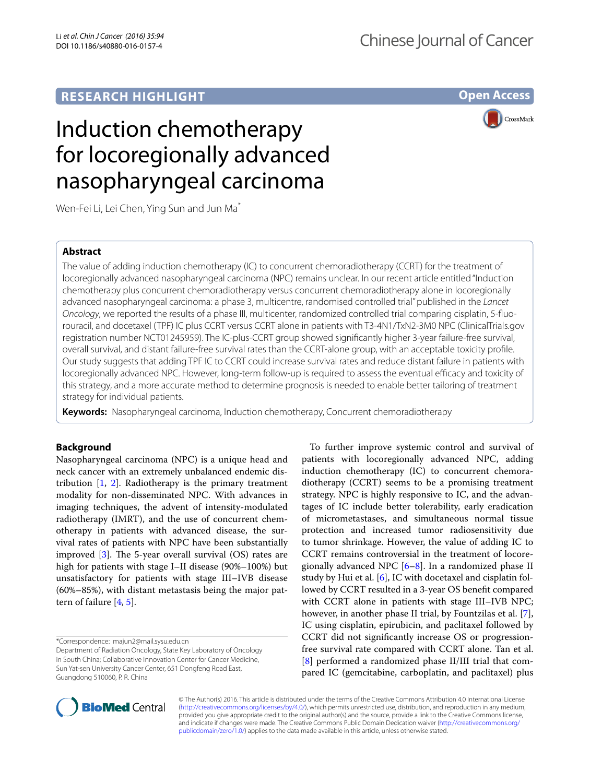# **RESEARCH HIGHLIGHT**

**Open Access**

**CrossMark** 

# Induction chemotherapy for locoregionally advanced nasopharyngeal carcinoma

Wen-Fei Li, Lei Chen, Ying Sun and Jun Ma<sup>\*</sup>

## **Abstract**

The value of adding induction chemotherapy (IC) to concurrent chemoradiotherapy (CCRT) for the treatment of locoregionally advanced nasopharyngeal carcinoma (NPC) remains unclear. In our recent article entitled "Induction chemotherapy plus concurrent chemoradiotherapy versus concurrent chemoradiotherapy alone in locoregionally advanced nasopharyngeal carcinoma: a phase 3, multicentre, randomised controlled trial" published in the *Lancet Oncology*, we reported the results of a phase III, multicenter, randomized controlled trial comparing cisplatin, 5-fluo‑ rouracil, and docetaxel (TPF) IC plus CCRT versus CCRT alone in patients with T3-4N1/TxN2-3M0 NPC (ClinicalTrials.gov registration number NCT01245959). The IC-plus-CCRT group showed significantly higher 3-year failure-free survival, overall survival, and distant failure-free survival rates than the CCRT-alone group, with an acceptable toxicity profile. Our study suggests that adding TPF IC to CCRT could increase survival rates and reduce distant failure in patients with locoregionally advanced NPC. However, long-term follow-up is required to assess the eventual efficacy and toxicity of this strategy, and a more accurate method to determine prognosis is needed to enable better tailoring of treatment strategy for individual patients.

**Keywords:** Nasopharyngeal carcinoma, Induction chemotherapy, Concurrent chemoradiotherapy

## **Background**

Nasopharyngeal carcinoma (NPC) is a unique head and neck cancer with an extremely unbalanced endemic distribution  $\begin{bmatrix} 1, 2 \end{bmatrix}$  $\begin{bmatrix} 1, 2 \end{bmatrix}$  $\begin{bmatrix} 1, 2 \end{bmatrix}$ . Radiotherapy is the primary treatment modality for non-disseminated NPC. With advances in imaging techniques, the advent of intensity-modulated radiotherapy (IMRT), and the use of concurrent chemotherapy in patients with advanced disease, the survival rates of patients with NPC have been substantially improved [[3\]](#page-2-2). The 5-year overall survival (OS) rates are high for patients with stage I–II disease (90%–100%) but unsatisfactory for patients with stage III–IVB disease (60%–85%), with distant metastasis being the major pattern of failure [[4,](#page-2-3) [5](#page-2-4)].

\*Correspondence: majun2@mail.sysu.edu.cn

Department of Radiation Oncology, State Key Laboratory of Oncology in South China; Collaborative Innovation Center for Cancer Medicine, Sun Yat-sen University Cancer Center, 651 Dongfeng Road East, Guangdong 510060, P. R. China





© The Author(s) 2016. This article is distributed under the terms of the Creative Commons Attribution 4.0 International License [\(http://creativecommons.org/licenses/by/4.0/\)](http://creativecommons.org/licenses/by/4.0/), which permits unrestricted use, distribution, and reproduction in any medium, provided you give appropriate credit to the original author(s) and the source, provide a link to the Creative Commons license, and indicate if changes were made. The Creative Commons Public Domain Dedication waiver ([http://creativecommons.org/](http://creativecommons.org/publicdomain/zero/1.0/) [publicdomain/zero/1.0/](http://creativecommons.org/publicdomain/zero/1.0/)) applies to the data made available in this article, unless otherwise stated.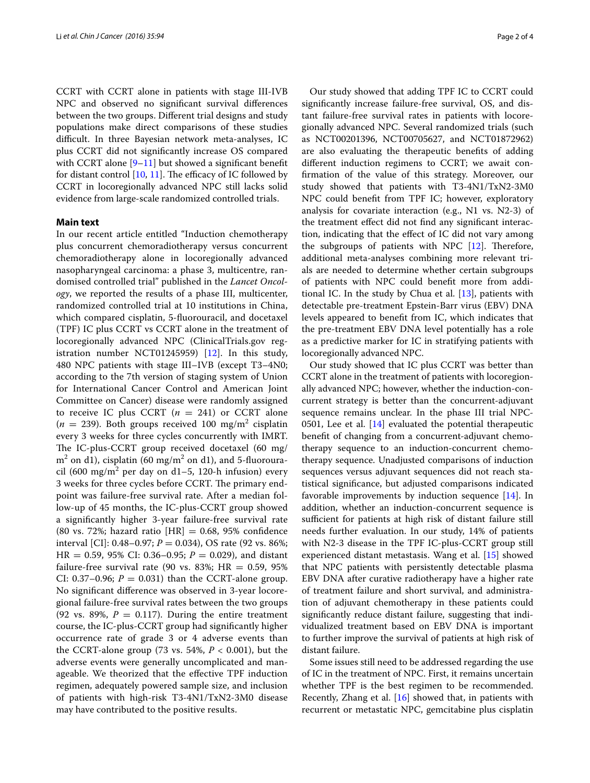CCRT with CCRT alone in patients with stage III-IVB NPC and observed no significant survival differences between the two groups. Different trial designs and study populations make direct comparisons of these studies difficult. In three Bayesian network meta-analyses, IC plus CCRT did not significantly increase OS compared with CCRT alone  $[9-11]$  $[9-11]$  but showed a significant benefit for distant control  $[10, 11]$  $[10, 11]$  $[10, 11]$  $[10, 11]$ . The efficacy of IC followed by CCRT in locoregionally advanced NPC still lacks solid evidence from large-scale randomized controlled trials.

### **Main text**

In our recent article entitled "Induction chemotherapy plus concurrent chemoradiotherapy versus concurrent chemoradiotherapy alone in locoregionally advanced nasopharyngeal carcinoma: a phase 3, multicentre, randomised controlled trial" published in the *Lancet Oncology*, we reported the results of a phase III, multicenter, randomized controlled trial at 10 institutions in China, which compared cisplatin, 5-fluorouracil, and docetaxel (TPF) IC plus CCRT vs CCRT alone in the treatment of locoregionally advanced NPC (ClinicalTrials.gov registration number NCT01245959) [\[12](#page-2-11)]. In this study, 480 NPC patients with stage III–IVB (except T3–4N0; according to the 7th version of staging system of Union for International Cancer Control and American Joint Committee on Cancer) disease were randomly assigned to receive IC plus CCRT  $(n = 241)$  or CCRT alone  $(n = 239)$ . Both groups received 100 mg/m<sup>2</sup> cisplatin every 3 weeks for three cycles concurrently with IMRT. The IC-plus-CCRT group received docetaxel (60 mg/  $\rm m^2$  on d1), cisplatin (60 mg/m $^2$  on d1), and 5-fluorouracil (600 mg/m<sup>2</sup> per day on d1–5, 120-h infusion) every 3 weeks for three cycles before CCRT. The primary endpoint was failure-free survival rate. After a median follow-up of 45 months, the IC-plus-CCRT group showed a significantly higher 3-year failure-free survival rate (80 vs. 72%; hazard ratio  $[HR] = 0.68, 95%$  confidence interval [CI]:  $0.48-0.97$ ;  $P = 0.034$ ), OS rate (92 vs. 86%;  $HR = 0.59, 95\% \text{ CI: } 0.36 - 0.95; P = 0.029$ , and distant failure-free survival rate (90 vs. 83%; HR =  $0.59$ , 95% CI: 0.37–0.96;  $P = 0.031$ ) than the CCRT-alone group. No significant difference was observed in 3-year locoregional failure-free survival rates between the two groups (92 vs. 89%,  $P = 0.117$ ). During the entire treatment course, the IC-plus-CCRT group had significantly higher occurrence rate of grade 3 or 4 adverse events than the CCRT-alone group (73 vs.  $54\%$ ,  $P < 0.001$ ), but the adverse events were generally uncomplicated and manageable. We theorized that the effective TPF induction regimen, adequately powered sample size, and inclusion of patients with high-risk T3-4N1/TxN2-3M0 disease may have contributed to the positive results.

Our study showed that adding TPF IC to CCRT could significantly increase failure-free survival, OS, and distant failure-free survival rates in patients with locoregionally advanced NPC. Several randomized trials (such as NCT00201396, NCT00705627, and NCT01872962) are also evaluating the therapeutic benefits of adding different induction regimens to CCRT; we await confirmation of the value of this strategy. Moreover, our study showed that patients with T3-4N1/TxN2-3M0 NPC could benefit from TPF IC; however, exploratory analysis for covariate interaction (e.g., N1 vs. N2-3) of the treatment effect did not find any significant interaction, indicating that the effect of IC did not vary among the subgroups of patients with NPC  $[12]$  $[12]$ . Therefore, additional meta-analyses combining more relevant trials are needed to determine whether certain subgroups of patients with NPC could benefit more from additional IC. In the study by Chua et al. [[13\]](#page-2-12), patients with detectable pre-treatment Epstein-Barr virus (EBV) DNA levels appeared to benefit from IC, which indicates that the pre-treatment EBV DNA level potentially has a role as a predictive marker for IC in stratifying patients with locoregionally advanced NPC.

Our study showed that IC plus CCRT was better than CCRT alone in the treatment of patients with locoregionally advanced NPC; however, whether the induction-concurrent strategy is better than the concurrent-adjuvant sequence remains unclear. In the phase III trial NPC-0501, Lee et al. [[14\]](#page-2-13) evaluated the potential therapeutic benefit of changing from a concurrent-adjuvant chemotherapy sequence to an induction-concurrent chemotherapy sequence. Unadjusted comparisons of induction sequences versus adjuvant sequences did not reach statistical significance, but adjusted comparisons indicated favorable improvements by induction sequence [[14\]](#page-2-13). In addition, whether an induction-concurrent sequence is sufficient for patients at high risk of distant failure still needs further evaluation. In our study, 14% of patients with N2-3 disease in the TPF IC-plus-CCRT group still experienced distant metastasis. Wang et al. [\[15](#page-2-14)] showed that NPC patients with persistently detectable plasma EBV DNA after curative radiotherapy have a higher rate of treatment failure and short survival, and administration of adjuvant chemotherapy in these patients could significantly reduce distant failure, suggesting that individualized treatment based on EBV DNA is important to further improve the survival of patients at high risk of distant failure.

Some issues still need to be addressed regarding the use of IC in the treatment of NPC. First, it remains uncertain whether TPF is the best regimen to be recommended. Recently, Zhang et al. [[16\]](#page-2-15) showed that, in patients with recurrent or metastatic NPC, gemcitabine plus cisplatin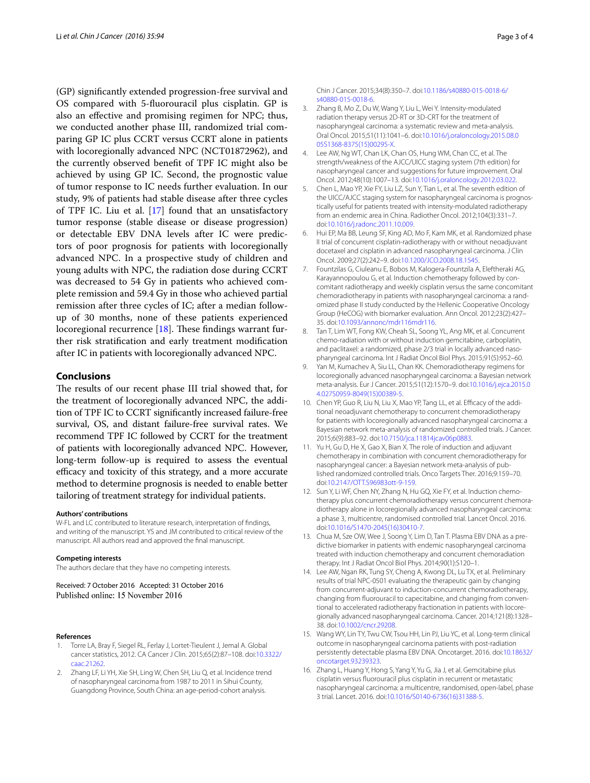(GP) significantly extended progression-free survival and OS compared with 5-fluorouracil plus cisplatin. GP is also an effective and promising regimen for NPC; thus, we conducted another phase III, randomized trial comparing GP IC plus CCRT versus CCRT alone in patients with locoregionally advanced NPC (NCT01872962), and the currently observed benefit of TPF IC might also be achieved by using GP IC. Second, the prognostic value of tumor response to IC needs further evaluation. In our study, 9% of patients had stable disease after three cycles of TPF IC. Liu et al. [\[17](#page-3-0)] found that an unsatisfactory tumor response (stable disease or disease progression) or detectable EBV DNA levels after IC were predictors of poor prognosis for patients with locoregionally advanced NPC. In a prospective study of children and young adults with NPC, the radiation dose during CCRT was decreased to 54 Gy in patients who achieved complete remission and 59.4 Gy in those who achieved partial remission after three cycles of IC; after a median followup of 30 months, none of these patients experienced locoregional recurrence [\[18](#page-3-1)]. These findings warrant further risk stratification and early treatment modification after IC in patients with locoregionally advanced NPC.

### **Conclusions**

The results of our recent phase III trial showed that, for the treatment of locoregionally advanced NPC, the addition of TPF IC to CCRT significantly increased failure-free survival, OS, and distant failure-free survival rates. We recommend TPF IC followed by CCRT for the treatment of patients with locoregionally advanced NPC. However, long-term follow-up is required to assess the eventual efficacy and toxicity of this strategy, and a more accurate method to determine prognosis is needed to enable better tailoring of treatment strategy for individual patients.

#### **Authors' contributions**

W-FL and LC contributed to literature research, interpretation of findings, and writing of the manuscript. YS and JM contributed to critical review of the manuscript. All authors read and approved the final manuscript.

#### **Competing interests**

The authors declare that they have no competing interests.

Received: 7 October 2016 Accepted: 31 October 2016 Published online: 15 November 2016

#### **References**

- <span id="page-2-0"></span>1. Torre LA, Bray F, Siegel RL, Ferlay J, Lortet-Tieulent J, Jemal A. Global cancer statistics, 2012. CA Cancer J Clin. 2015;65(2):87–108. doi:[10.3322/](http://dx.doi.org/10.3322/caac.21262) [caac.21262.](http://dx.doi.org/10.3322/caac.21262)
- <span id="page-2-1"></span>2. Zhang LF, Li YH, Xie SH, Ling W, Chen SH, Liu Q, et al. Incidence trend of nasopharyngeal carcinoma from 1987 to 2011 in Sihui County, Guangdong Province, South China: an age-period-cohort analysis.
- <span id="page-2-2"></span>3. Zhang B, Mo Z, Du W, Wang Y, Liu L, Wei Y. Intensity-modulated radiation therapy versus 2D-RT or 3D-CRT for the treatment of nasopharyngeal carcinoma: a systematic review and meta-analysis. Oral Oncol. 2015;51(11):1041–6. doi[:10.1016/j.oraloncology.2015.08.0](http://dx.doi.org/10.1016/j.oraloncology.2015.08.005S1368-8375(15)00295-X) [05S1368-8375\(15\)00295-X.](http://dx.doi.org/10.1016/j.oraloncology.2015.08.005S1368-8375(15)00295-X)
- <span id="page-2-3"></span>4. Lee AW, Ng WT, Chan LK, Chan OS, Hung WM, Chan CC, et al. The strength/weakness of the AJCC/UICC staging system (7th edition) for nasopharyngeal cancer and suggestions for future improvement. Oral Oncol. 2012;48(10):1007–13. doi[:10.1016/j.oraloncology.2012.03.022.](http://dx.doi.org/10.1016/j.oraloncology.2012.03.022)
- <span id="page-2-4"></span>5. Chen L, Mao YP, Xie FY, Liu LZ, Sun Y, Tian L, et al. The seventh edition of the UICC/AJCC staging system for nasopharyngeal carcinoma is prognostically useful for patients treated with intensity-modulated radiotherapy from an endemic area in China. Radiother Oncol. 2012;104(3):331–7. doi:[10.1016/j.radonc.2011.10.009](http://dx.doi.org/10.1016/j.radonc.2011.10.009).
- <span id="page-2-5"></span>6. Hui EP, Ma BB, Leung SF, King AD, Mo F, Kam MK, et al. Randomized phase II trial of concurrent cisplatin-radiotherapy with or without neoadjuvant docetaxel and cisplatin in advanced nasopharyngeal carcinoma. J Clin Oncol. 2009;27(2):242–9. doi[:10.1200/JCO.2008.18.1545](http://dx.doi.org/10.1200/JCO.2008.18.1545).
- <span id="page-2-7"></span>7. Fountzilas G, Ciuleanu E, Bobos M, Kalogera-Fountzila A, Eleftheraki AG, Karayannopoulou G, et al. Induction chemotherapy followed by concomitant radiotherapy and weekly cisplatin versus the same concomitant chemoradiotherapy in patients with nasopharyngeal carcinoma: a randomized phase II study conducted by the Hellenic Cooperative Oncology Group (HeCOG) with biomarker evaluation. Ann Oncol. 2012;23(2):427– 35. doi:[10.1093/annonc/mdr116mdr116](http://dx.doi.org/10.1093/annonc/mdr116mdr116).
- <span id="page-2-6"></span>8. Tan T, Lim WT, Fong KW, Cheah SL, Soong YL, Ang MK, et al. Concurrent chemo-radiation with or without induction gemcitabine, carboplatin, and paclitaxel: a randomized, phase 2/3 trial in locally advanced nasopharyngeal carcinoma. Int J Radiat Oncol Biol Phys. 2015;91(5):952–60.
- <span id="page-2-8"></span>9. Yan M, Kumachev A, Siu LL, Chan KK. Chemoradiotherapy regimens for locoregionally advanced nasopharyngeal carcinoma: a Bayesian network meta-analysis. Eur J Cancer. 2015;51(12):1570–9. doi[:10.1016/j.ejca.2015.0](http://dx.doi.org/10.1016/j.ejca.2015.04.027S0959-8049(15)00389-5) [4.027S0959-8049\(15\)00389-5](http://dx.doi.org/10.1016/j.ejca.2015.04.027S0959-8049(15)00389-5).
- <span id="page-2-10"></span>10. Chen YP, Guo R, Liu N, Liu X, Mao YP, Tang LL, et al. Efficacy of the additional neoadjuvant chemotherapy to concurrent chemoradiotherapy for patients with locoregionally advanced nasopharyngeal carcinoma: a Bayesian network meta-analysis of randomized controlled trials. J Cancer. 2015;6(9):883–92. doi[:10.7150/jca.11814jcav06p0883.](http://dx.doi.org/10.7150/jca.11814jcav06p0883)
- <span id="page-2-9"></span>11. Yu H, Gu D, He X, Gao X, Bian X. The role of induction and adjuvant chemotherapy in combination with concurrent chemoradiotherapy for nasopharyngeal cancer: a Bayesian network meta-analysis of pub‑ lished randomized controlled trials. Onco Targets Ther. 2016;9:159–70. doi:[10.2147/OTT.S96983ott-9-159](http://dx.doi.org/10.2147/OTT.S96983ott-9-159).
- <span id="page-2-11"></span>12. Sun Y, Li WF, Chen NY, Zhang N, Hu GQ, Xie FY, et al. Induction chemotherapy plus concurrent chemoradiotherapy versus concurrent chemoradiotherapy alone in locoregionally advanced nasopharyngeal carcinoma: a phase 3, multicentre, randomised controlled trial. Lancet Oncol. 2016. doi:[10.1016/S1470-2045\(16\)30410-7](http://dx.doi.org/10.1016/S1470-2045(16)30410-7).
- <span id="page-2-12"></span>13. Chua M, Sze OW, Wee J, Soong Y, Lim D, Tan T. Plasma EBV DNA as a predictive biomarker in patients with endemic nasopharyngeal carcinoma treated with induction chemotherapy and concurrent chemoradiation therapy. Int J Radiat Oncol Biol Phys. 2014;90(1):S120–1.
- <span id="page-2-13"></span>14. Lee AW, Ngan RK, Tung SY, Cheng A, Kwong DL, Lu TX, et al. Preliminary results of trial NPC-0501 evaluating the therapeutic gain by changing from concurrent-adjuvant to induction-concurrent chemoradiotherapy, changing from fluorouracil to capecitabine, and changing from conventional to accelerated radiotherapy fractionation in patients with locoregionally advanced nasopharyngeal carcinoma. Cancer. 2014;121(8):1328– 38. doi:[10.1002/cncr.29208](http://dx.doi.org/10.1002/cncr.29208).
- <span id="page-2-14"></span>15. Wang WY, Lin TY, Twu CW, Tsou HH, Lin PJ, Liu YC, et al. Long-term clinical outcome in nasopharyngeal carcinoma patients with post-radiation persistently detectable plasma EBV DNA. Oncotarget. 2016. doi[:10.18632/](http://dx.doi.org/10.18632/oncotarget.93239323) [oncotarget.93239323.](http://dx.doi.org/10.18632/oncotarget.93239323)
- <span id="page-2-15"></span>16. Zhang L, Huang Y, Hong S, Yang Y, Yu G, Jia J, et al. Gemcitabine plus cisplatin versus fluorouracil plus cisplatin in recurrent or metastatic nasopharyngeal carcinoma: a multicentre, randomised, open-label, phase 3 trial. Lancet. 2016. doi:[10.1016/S0140-6736\(16\)31388-5.](http://dx.doi.org/10.1016/S0140-6736(16)31388-5)